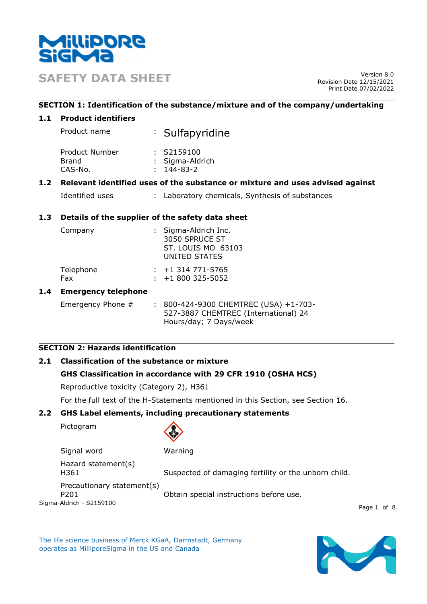

**SAFETY DATA SHEET** Version 8.0

Revision Date 12/15/2021 Print Date 07/02/2022

# **SECTION 1: Identification of the substance/mixture and of the company/undertaking**

# **1.1 Product identifiers**

| Product name | : Sulfapyridine                    |
|--------------|------------------------------------|
| .            | $\sim$ $\sim$ $\sim$ $\sim$ $\sim$ |

| Product Number | : S2159100       |
|----------------|------------------|
| Brand          | : Sigma-Aldrich  |
| CAS-No.        | $: 144 - 83 - 2$ |

# **1.2 Relevant identified uses of the substance or mixture and uses advised against**

| Identified uses |  | : Laboratory chemicals, Synthesis of substances |  |
|-----------------|--|-------------------------------------------------|--|
|-----------------|--|-------------------------------------------------|--|

# **1.3 Details of the supplier of the safety data sheet**

| Company          | : Sigma-Aldrich Inc.<br>3050 SPRUCE ST<br>ST. LOUIS MO 63103<br>UNITED STATES |
|------------------|-------------------------------------------------------------------------------|
| Telephone<br>Fax | $: +1314771 - 5765$<br>$: +1800325 - 5052$                                    |
|                  |                                                                               |

# **1.4 Emergency telephone**

Emergency Phone # : 800-424-9300 CHEMTREC (USA) +1-703-527-3887 CHEMTREC (International) 24 Hours/day; 7 Days/week

# **SECTION 2: Hazards identification**

# **2.1 Classification of the substance or mixture**

# **GHS Classification in accordance with 29 CFR 1910 (OSHA HCS)**

Reproductive toxicity (Category 2), H361

For the full text of the H-Statements mentioned in this Section, see Section 16.

# **2.2 GHS Label elements, including precautionary statements**

Pictogram



Sigma-Aldrich - S2159100 Signal word Warning Hazard statement(s) H361 Suspected of damaging fertility or the unborn child. Precautionary statement(s) P201 Obtain special instructions before use.

Page 1 of 8

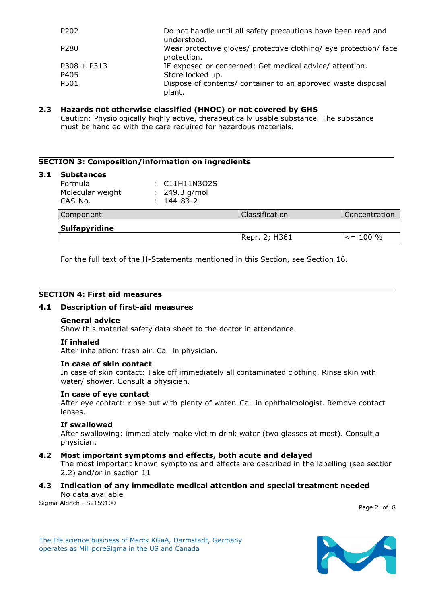| P202             | Do not handle until all safety precautions have been read and<br>understood.     |
|------------------|----------------------------------------------------------------------------------|
| P <sub>280</sub> | Wear protective gloves/ protective clothing/ eye protection/ face<br>protection. |
| $P308 + P313$    | IF exposed or concerned: Get medical advice/ attention.                          |
| P405             | Store locked up.                                                                 |
| P501             | Dispose of contents/ container to an approved waste disposal<br>plant.           |

# **2.3 Hazards not otherwise classified (HNOC) or not covered by GHS**

Caution: Physiologically highly active, therapeutically usable substance. The substance must be handled with the care required for hazardous materials.

# **SECTION 3: Composition/information on ingredients**

#### **3.1 Substances**

| Formula          | : C11H11N3O2S    |
|------------------|------------------|
| Molecular weight | $: 249.3$ g/mol  |
| CAS-No.          | $: 144 - 83 - 2$ |
|                  |                  |

| Component     | Classification | Concentration |  |  |
|---------------|----------------|---------------|--|--|
| Sulfapyridine |                |               |  |  |
|               | Repr. 2; H361  | $\le$ = 100 % |  |  |

For the full text of the H-Statements mentioned in this Section, see Section 16.

# **SECTION 4: First aid measures**

#### **4.1 Description of first-aid measures**

#### **General advice**

Show this material safety data sheet to the doctor in attendance.

#### **If inhaled**

After inhalation: fresh air. Call in physician.

#### **In case of skin contact**

In case of skin contact: Take off immediately all contaminated clothing. Rinse skin with water/ shower. Consult a physician.

#### **In case of eye contact**

After eye contact: rinse out with plenty of water. Call in ophthalmologist. Remove contact lenses.

#### **If swallowed**

After swallowing: immediately make victim drink water (two glasses at most). Consult a physician.

#### **4.2 Most important symptoms and effects, both acute and delayed**

The most important known symptoms and effects are described in the labelling (see section 2.2) and/or in section 11

# **4.3 Indication of any immediate medical attention and special treatment needed** No data available

Sigma-Aldrich - S2159100

Page 2 of 8

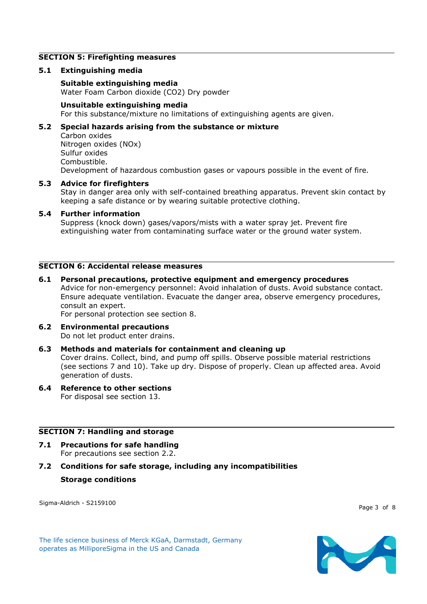#### **SECTION 5: Firefighting measures**

#### **5.1 Extinguishing media**

**Suitable extinguishing media** Water Foam Carbon dioxide (CO2) Dry powder

#### **Unsuitable extinguishing media**

For this substance/mixture no limitations of extinguishing agents are given.

# **5.2 Special hazards arising from the substance or mixture**

Carbon oxides Nitrogen oxides (NOx) Sulfur oxides Combustible. Development of hazardous combustion gases or vapours possible in the event of fire.

#### **5.3 Advice for firefighters**

Stay in danger area only with self-contained breathing apparatus. Prevent skin contact by keeping a safe distance or by wearing suitable protective clothing.

#### **5.4 Further information**

Suppress (knock down) gases/vapors/mists with a water spray jet. Prevent fire extinguishing water from contaminating surface water or the ground water system.

#### **SECTION 6: Accidental release measures**

#### **6.1 Personal precautions, protective equipment and emergency procedures** Advice for non-emergency personnel: Avoid inhalation of dusts. Avoid substance contact. Ensure adequate ventilation. Evacuate the danger area, observe emergency procedures, consult an expert. For personal protection see section 8.

**6.2 Environmental precautions** Do not let product enter drains.

# **6.3 Methods and materials for containment and cleaning up**

Cover drains. Collect, bind, and pump off spills. Observe possible material restrictions (see sections 7 and 10). Take up dry. Dispose of properly. Clean up affected area. Avoid generation of dusts.

#### **6.4 Reference to other sections** For disposal see section 13.

# **SECTION 7: Handling and storage**

- **7.1 Precautions for safe handling** For precautions see section 2.2.
- **7.2 Conditions for safe storage, including any incompatibilities Storage conditions**

Sigma-Aldrich - S2159100

Page 3 of 8

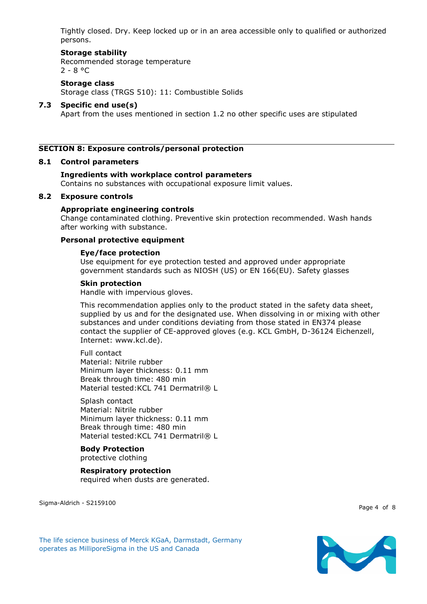Tightly closed. Dry. Keep locked up or in an area accessible only to qualified or authorized persons.

# **Storage stability**

Recommended storage temperature  $2 - 8 °C$ 

# **Storage class**

Storage class (TRGS 510): 11: Combustible Solids

# **7.3 Specific end use(s)**

Apart from the uses mentioned in section 1.2 no other specific uses are stipulated

#### **SECTION 8: Exposure controls/personal protection**

#### **8.1 Control parameters**

# **Ingredients with workplace control parameters**

Contains no substances with occupational exposure limit values.

#### **8.2 Exposure controls**

#### **Appropriate engineering controls**

Change contaminated clothing. Preventive skin protection recommended. Wash hands after working with substance.

# **Personal protective equipment**

#### **Eye/face protection**

Use equipment for eye protection tested and approved under appropriate government standards such as NIOSH (US) or EN 166(EU). Safety glasses

#### **Skin protection**

Handle with impervious gloves.

This recommendation applies only to the product stated in the safety data sheet, supplied by us and for the designated use. When dissolving in or mixing with other substances and under conditions deviating from those stated in EN374 please contact the supplier of CE-approved gloves (e.g. KCL GmbH, D-36124 Eichenzell, Internet: www.kcl.de).

#### Full contact Material: Nitrile rubber Minimum layer thickness: 0.11 mm Break through time: 480 min Material tested: KCL 741 Dermatril® L

# Splash contact

Material: Nitrile rubber Minimum layer thickness: 0.11 mm Break through time: 480 min Material tested: KCL 741 Dermatril® L

#### **Body Protection** protective clothing

**Respiratory protection** required when dusts are generated.

Sigma-Aldrich - S2159100

Page 4 of 8

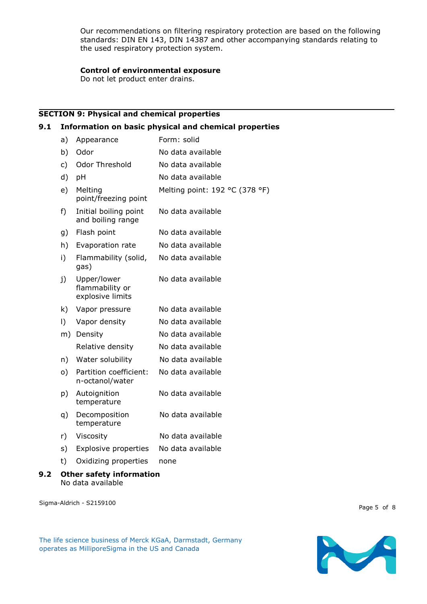Our recommendations on filtering respiratory protection are based on the following standards: DIN EN 143, DIN 14387 and other accompanying standards relating to the used respiratory protection system.

# **Control of environmental exposure**

Do not let product enter drains.

# **SECTION 9: Physical and chemical properties**

#### **9.1 Information on basic physical and chemical properties**

| a)    | Appearance                                         | Form: solid                    |
|-------|----------------------------------------------------|--------------------------------|
| b)    | Odor                                               | No data available              |
| c)    | Odor Threshold                                     | No data available              |
| d)    | pH                                                 | No data available              |
| e)    | Melting<br>point/freezing point                    | Melting point: 192 °C (378 °F) |
| $f$ ) | Initial boiling point<br>and boiling range         | No data available              |
| g)    | Flash point                                        | No data available              |
| h)    | Evaporation rate                                   | No data available              |
| i)    | Flammability (solid,<br>gas)                       | No data available              |
| j)    | Upper/lower<br>flammability or<br>explosive limits | No data available              |
| k)    | Vapor pressure                                     | No data available              |
| I)    | Vapor density                                      | No data available              |
| m)    | Density                                            | No data available              |
|       | Relative density                                   | No data available              |
| n)    | Water solubility                                   | No data available              |
| o)    | Partition coefficient:<br>n-octanol/water          | No data available              |
| p)    | Autoignition<br>temperature                        | No data available              |
| q)    | Decomposition<br>temperature                       | No data available              |
| r)    | Viscosity                                          | No data available              |
| s)    | <b>Explosive properties</b>                        | No data available              |
| t)    | Oxidizing properties                               | none                           |
|       | Called La Calculation 1                            |                                |

#### **9.2 Other safety information** No data available

Sigma-Aldrich - S2159100

Page 5 of 8

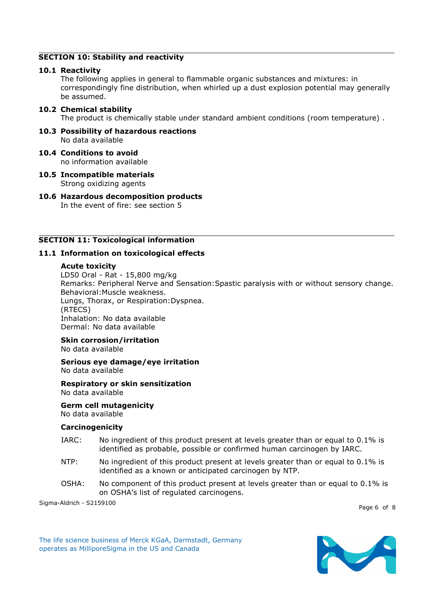# **SECTION 10: Stability and reactivity**

#### **10.1 Reactivity**

The following applies in general to flammable organic substances and mixtures: in correspondingly fine distribution, when whirled up a dust explosion potential may generally be assumed.

# **10.2 Chemical stability**

The product is chemically stable under standard ambient conditions (room temperature) .

**10.3 Possibility of hazardous reactions** No data available

#### **10.4 Conditions to avoid**

no information available

**10.5 Incompatible materials** Strong oxidizing agents

# **10.6 Hazardous decomposition products**

In the event of fire: see section 5

# **SECTION 11: Toxicological information**

#### **11.1 Information on toxicological effects**

#### **Acute toxicity**

LD50 Oral - Rat - 15,800 mg/kg Remarks: Peripheral Nerve and Sensation:Spastic paralysis with or without sensory change. Behavioral:Muscle weakness. Lungs, Thorax, or Respiration:Dyspnea. (RTECS) Inhalation: No data available Dermal: No data available

# **Skin corrosion/irritation**

No data available

**Serious eye damage/eye irritation** No data available

**Respiratory or skin sensitization** No data available

# **Germ cell mutagenicity**

No data available

# **Carcinogenicity**

- IARC: No ingredient of this product present at levels greater than or equal to 0.1% is identified as probable, possible or confirmed human carcinogen by IARC.
- NTP: No ingredient of this product present at levels greater than or equal to 0.1% is identified as a known or anticipated carcinogen by NTP.
- OSHA: No component of this product present at levels greater than or equal to 0.1% is on OSHA's list of regulated carcinogens.

Sigma-Aldrich - S2159100

Page 6 of 8

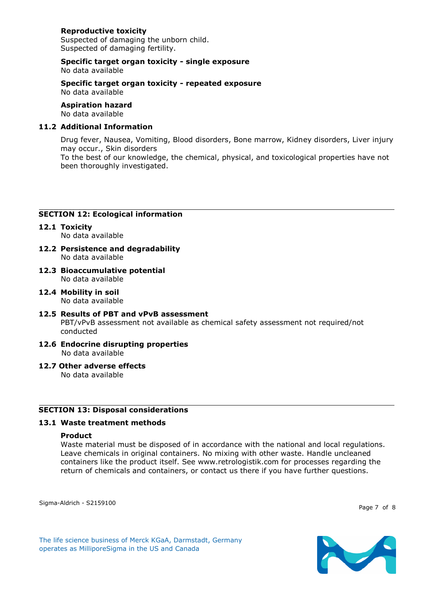# **Reproductive toxicity**

Suspected of damaging the unborn child. Suspected of damaging fertility.

#### **Specific target organ toxicity - single exposure** No data available

**Specific target organ toxicity - repeated exposure** No data available

**Aspiration hazard** No data available

# **11.2 Additional Information**

Drug fever, Nausea, Vomiting, Blood disorders, Bone marrow, Kidney disorders, Liver injury may occur., Skin disorders To the best of our knowledge, the chemical, physical, and toxicological properties have not been thoroughly investigated.

# **SECTION 12: Ecological information**

- **12.1 Toxicity** No data available
- **12.2 Persistence and degradability** No data available
- **12.3 Bioaccumulative potential** No data available
- **12.4 Mobility in soil** No data available
- **12.5 Results of PBT and vPvB assessment** PBT/vPvB assessment not available as chemical safety assessment not required/not conducted
- **12.6 Endocrine disrupting properties** No data available
- **12.7 Other adverse effects**

No data available

# **SECTION 13: Disposal considerations**

# **13.1 Waste treatment methods**

# **Product**

Waste material must be disposed of in accordance with the national and local regulations. Leave chemicals in original containers. No mixing with other waste. Handle uncleaned containers like the product itself. See www.retrologistik.com for processes regarding the return of chemicals and containers, or contact us there if you have further questions.

Sigma-Aldrich - S2159100

Page 7 of 8